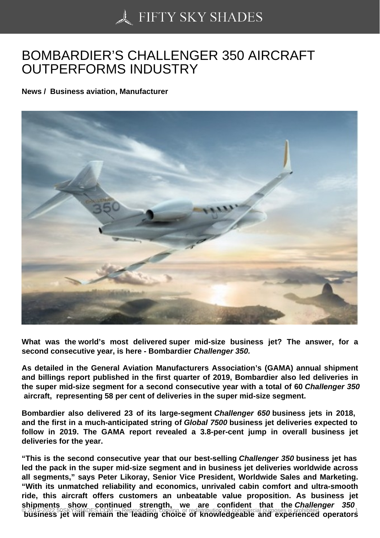## [BOMBARDIER'S CHA](https://50skyshades.com)LLENGER 350 AIRCRAFT OUTPERFORMS INDUSTRY

News / Business aviation, Manufacturer

What was the world's most delivered super mid-size business jet? The answer, for a second consecutive year, is here - Bombardier Challenger 350.

As detailed in the General Aviation Manufacturers Association's (GAMA) annual shipment and billings report published in the first quarter of 2019, Bombardier also led deliveries in the super mid-size segment for a second consecutive year with a total of 60 Challenger 350 aircraft, representing 58 per cent of deliveries in the super mid-size segment.

Bombardier also delivered 23 of its large-segment Challenger 650 business jets in 2018, and the first in a much-anticipated string of Global 7500 business jet deliveries expected to follow in 2019. The GAMA report revealed a 3.8-per-cent jump in overall business jet deliveries for the year.

"This is the second consecutive year that our best-selling Challenger 350 business jet has led the pack in the super mid-size segment and in business jet deliveries worldwide across all segments," says Peter Likoray, Senior Vice President, Worldwide Sales and Marketing. "With its unmatched reliability and economics, unrivaled cabin comfort and ultra-smooth ride, this aircraft offers customers an unbeatable value proposition. As business jet shipments show continued strength, we are confident that the Challenger 350 o 2015-2022 50SKYSHADES.COM — Reproduction, copying, or redistribution for commercial purposes is prohibited.<br>Dusiness jet will remain the leading choice of knowledgeable and experienced operators